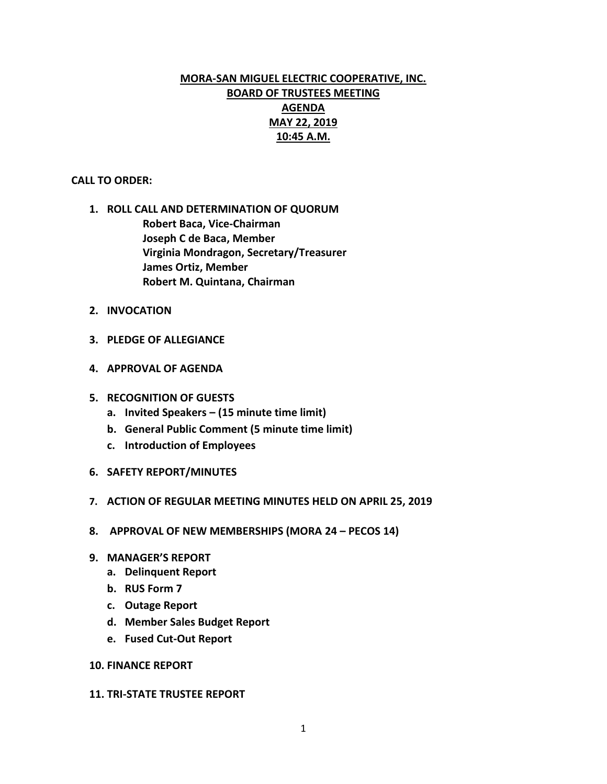# **MORA-SAN MIGUEL ELECTRIC COOPERATIVE, INC. BOARD OF TRUSTEES MEETING AGENDA MAY 22, 2019 10:45 A.M.**

# **CALL TO ORDER:**

- **1. ROLL CALL AND DETERMINATION OF QUORUM Robert Baca, Vice-Chairman Joseph C de Baca, Member Virginia Mondragon, Secretary/Treasurer James Ortiz, Member Robert M. Quintana, Chairman**
- **2. INVOCATION**
- **3. PLEDGE OF ALLEGIANCE**
- **4. APPROVAL OF AGENDA**
- **5. RECOGNITION OF GUESTS**
	- **a. Invited Speakers – (15 minute time limit)**
	- **b. General Public Comment (5 minute time limit)**
	- **c. Introduction of Employees**
- **6. SAFETY REPORT/MINUTES**
- **7. ACTION OF REGULAR MEETING MINUTES HELD ON APRIL 25, 2019**
- **8. APPROVAL OF NEW MEMBERSHIPS (MORA 24 – PECOS 14)**
- **9. MANAGER'S REPORT**
	- **a. Delinquent Report**
	- **b. RUS Form 7**
	- **c. Outage Report**
	- **d. Member Sales Budget Report**
	- **e. Fused Cut-Out Report**

# **10. FINANCE REPORT**

## **11. TRI-STATE TRUSTEE REPORT**